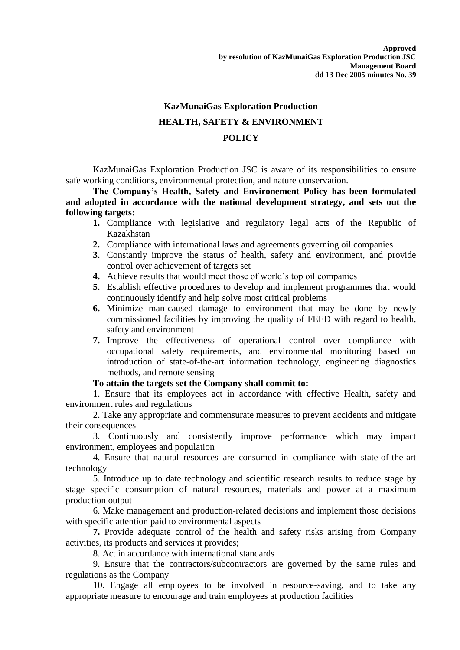## **KazMunaiGas Exploration Production HEALTH, SAFETY & ENVIRONMENT POLICY**

KazMunaiGas Exploration Production JSC is aware of its responsibilities to ensure safe working conditions, environmental protection, and nature conservation.

**The Company's Health, Safety and Environement Policy has been formulated and adopted in accordance with the national development strategy, and sets out the following targets:**

- **1.** Compliance with legislative and regulatory legal acts of the Republic of Kazakhstan
- **2.** Compliance with international laws and agreements governing oil companies
- **3.** Constantly improve the status of health, safety and environment, and provide control over achievement of targets set
- **4.** Achieve results that would meet those of world's top oil companies
- **5.** Establish effective procedures to develop and implement programmes that would continuously identify and help solve most critical problems
- **6.** Minimize man-caused damage to environment that may be done by newly commissioned facilities by improving the quality of FEED with regard to health, safety and environment
- **7.** Improve the effectiveness of operational control over compliance with occupational safety requirements, and environmental monitoring based on introduction of state-of-the-art information technology, engineering diagnostics methods, and remote sensing

## **To attain the targets set the Company shall commit to:**

1. Ensure that its employees act in accordance with effective Health, safety and environment rules and regulations

2. Take any appropriate and commensurate measures to prevent accidents and mitigate their consequences

3. Continuously and consistently improve performance which may impact environment, employees and population

4. Ensure that natural resources are consumed in compliance with state-of-the-art technology

5. Introduce up to date technology and scientific research results to reduce stage by stage specific consumption of natural resources, materials and power at a maximum production output

6. Make management and production-related decisions and implement those decisions with specific attention paid to environmental aspects

**7.** Provide adequate control of the health and safety risks arising from Company activities, its products and services it provides;

8. Act in accordance with international standards

9. Ensure that the contractors/subcontractors are governed by the same rules and regulations as the Company

10. Engage all employees to be involved in resource-saving, and to take any appropriate measure to encourage and train employees at production facilities